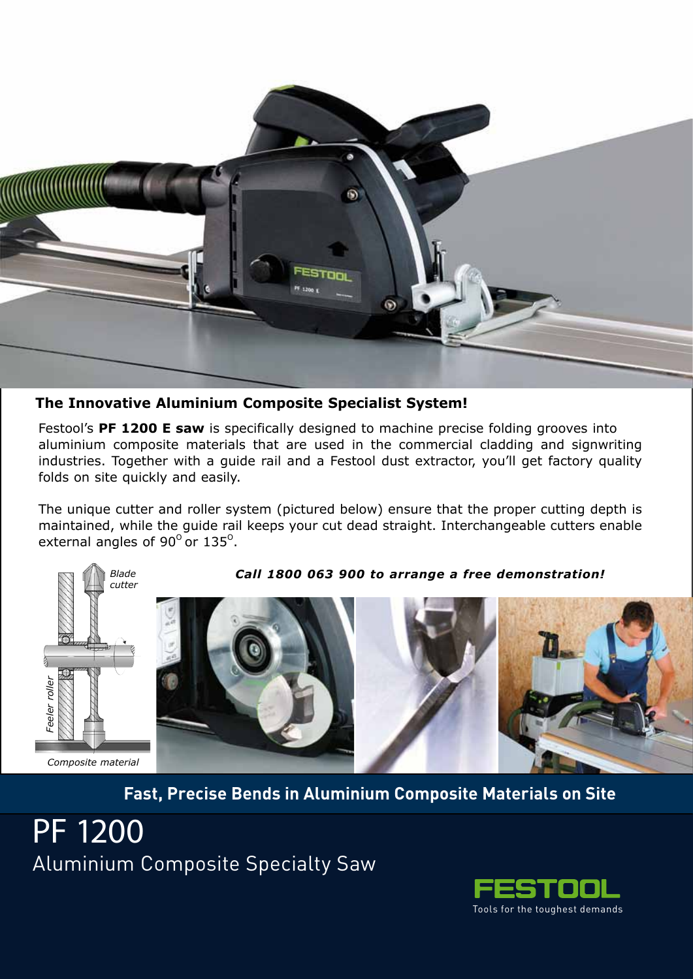

**The Innovative Aluminium Composite Specialist System!**

Festool's **PF 1200 E saw** is specifically designed to machine precise folding grooves into aluminium composite materials that are used in the commercial cladding and signwriting industries. Together with a guide rail and a Festool dust extractor, you'll get factory quality folds on site quickly and easily.

The unique cutter and roller system (pictured below) ensure that the proper cutting depth is maintained, while the guide rail keeps your cut dead straight. Interchangeable cutters enable external angles of 90 $^{\rm o}$  or 135 $^{\rm o}$ .



*Call 1800 063 900 to arrange a free demonstration!*



**Fast, Precise Bends in Aluminium Composite Materials on Site**

PF 1200 Aluminium Composite Specialty Saw